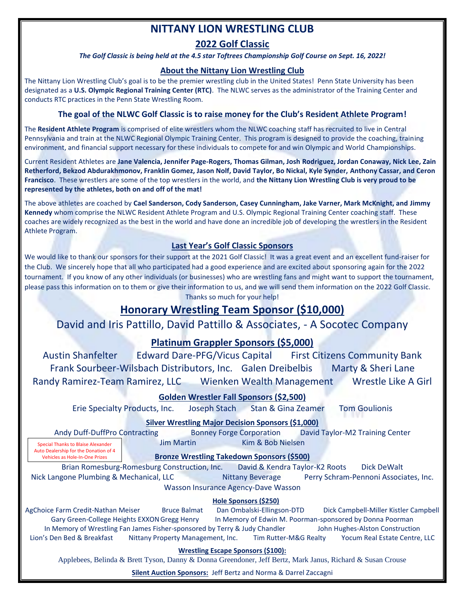# **NITTANY LION WRESTLING CLUB**

## **2022 Golf Classic**

#### *The Golf Classic is being held at the 4.5 star Toftrees Championship Golf Course on Sept. 16, 2022!*

## **About the Nittany Lion Wrestling Club**

The Nittany Lion Wrestling Club's goal is to be the premier wrestling club in the United States! Penn State University has been designated as a **U.S. Olympic Regional Training Center (RTC)**. The NLWC serves as the administrator of the Training Center and conducts RTC practices in the Penn State Wrestling Room.

## **The goal of the NLWC Golf Classic is to raise money for the Club's Resident Athlete Program!**

The **Resident Athlete Program** is comprised of elite wrestlers whom the NLWC coaching staff has recruited to live in Central Pennsylvania and train at the NLWC Regional Olympic Training Center. This program is designed to provide the coaching, training environment, and financial support necessary for these individuals to compete for and win Olympic and World Championships.

Current Resident Athletes are **Jane Valencia, Jennifer Page-Rogers, Thomas Gilman, Josh Rodriguez, Jordan Conaway, Nick Lee, Zain Retherford, Bekzod Abdurakhmonov, Franklin Gomez, Jason Nolf, David Taylor, Bo Nickal, Kyle Synder, Anthony Cassar, and Ceron Francisco**. These wrestlers are some of the top wrestlers in the world, and **the Nittany Lion Wrestling Club is very proud to be represented by the athletes, both on and off of the mat!**

The above athletes are coached by **Cael Sanderson, Cody Sanderson, Casey Cunningham, Jake Varner, Mark McKnight, and Jimmy Kennedy** whom comprise the NLWC Resident Athlete Program and U.S. Olympic Regional Training Center coaching staff. These coaches are widely recognized as the best in the world and have done an incredible job of developing the wrestlers in the Resident Athlete Program.

## **Last Year's Golf Classic Sponsors**

We would like to thank our sponsors for their support at the 2021 Golf Classic! It was a great event and an excellent fund-raiser for the Club. We sincerely hope that all who participated had a good experience and are excited about sponsoring again for the 2022 tournament. If you know of any other individuals (or businesses) who are wrestling fans and might want to support the tournament, please pass this information on to them or give their information to us, and we will send them information on the 2022 Golf Classic. Thanks so much for your help!

## **Honorary Wrestling Team Sponsor (\$10,000)**

## David and Iris Pattillo, David Pattillo & Associates, - A Socotec Company

## **Platinum Grappler Sponsors (\$5,000)**

Austin Shanfelter Edward Dare-PFG/Vicus Capital First Citizens Community Bank Frank Sourbeer-Wilsbach Distributors, Inc. Galen Dreibelbis Marty & Sheri Lane Randy Ramirez-Team Ramirez, LLC Wienken Wealth Management Wrestle Like A Girl

## **Golden Wrestler Fall Sponsors (\$2,500)**

Erie Specialty Products, Inc. Joseph Stach Stan & Gina Zeamer Tom Goulionis

**Silver Wrestling Major Decision Sponsors (\$1,000)**

Andy Duff-DuffPro Contracting Bonney Forge Corporation David Taylor-M2 Training Center **Jim Martin Kim & Bob Nielsen** Special Thanks to Blaise Alexander

Auto Dealership for the Donation of 4 Vehicles as Hole-In-One Prizes

**Bronze Wrestling Takedown Sponsors (\$500)**

Brian Romesburg-Romesburg Construction, Inc. David & Kendra Taylor-K2 Roots Dick DeWalt Nick Langone Plumbing & Mechanical, LLC Nittany Beverage Perry Schram-Pennoni Associates, Inc. Wasson Insurance Agency-Dave Wasson

### **Hole Sponsors (\$250)**

AgChoice Farm Credit-Nathan Meiser Bruce Balmat Dan Ombalski-Ellingson-DTD Dick Campbell-Miller Kistler Campbell Gary Green-College Heights EXXON Gregg Henry In Memory of Edwin M. Poorman-sponsored by Donna Poorman In Memory of Wrestling Fan James Fisher-sponsored by Terry & Judy Chandler John Hughes-Alston Construction Lion's Den Bed & Breakfast Nittany Property Management, Inc. Tim Rutter-M&G Realty Yocum Real Estate Centre, LLC

#### **Wrestling Escape Sponsors (\$100):**

Applebees, Belinda & Brett Tyson, Danny & Donna Greendoner, Jeff Bertz, Mark Janus, Richard & Susan Crouse

**Silent Auction Sponsors:** Jeff Bertz and Norma & Darrel Zaccagni